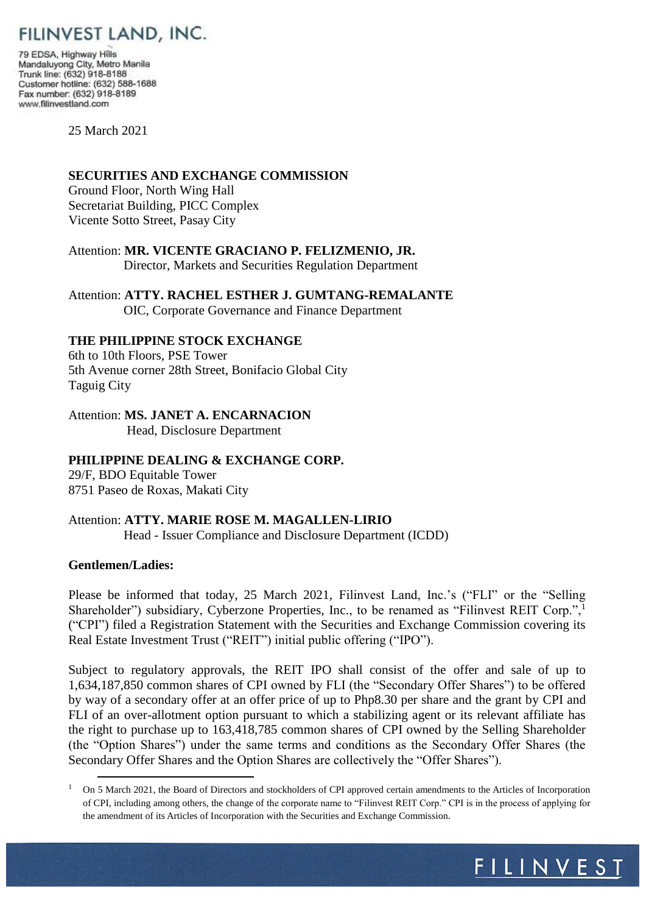

79 EDSA, Highway Hills Mandaluyong City, Metro Manila Trunk line: (632) 918-8188 Customer hotline: (632) 588-1688 Fax number: (632) 918-8189 www.filinvestland.com

25 March 2021

### **SECURITIES AND EXCHANGE COMMISSION**

Ground Floor, North Wing Hall Secretariat Building, PICC Complex Vicente Sotto Street, Pasay City

Attention: **MR. VICENTE GRACIANO P. FELIZMENIO, JR.** Director, Markets and Securities Regulation Department

Attention: **ATTY. RACHEL ESTHER J. GUMTANG-REMALANTE** OIC, Corporate Governance and Finance Department

# **THE PHILIPPINE STOCK EXCHANGE**

6th to 10th Floors, PSE Tower 5th Avenue corner 28th Street, Bonifacio Global City Taguig City

Attention: **MS. JANET A. ENCARNACION** Head, Disclosure Department

## **PHILIPPINE DEALING & EXCHANGE CORP.**

29/F, BDO Equitable Tower 8751 Paseo de Roxas, Makati City

# Attention: **ATTY. MARIE ROSE M. MAGALLEN-LIRIO**

Head - Issuer Compliance and Disclosure Department (ICDD)

## **Gentlemen/Ladies:**

<u>.</u>

Please be informed that today, 25 March 2021, Filinvest Land, Inc.'s ("FLI" or the "Selling Shareholder") subsidiary, Cyberzone Properties, Inc., to be renamed as "Filinvest REIT Corp.",<sup>1</sup> ("CPI") filed a Registration Statement with the Securities and Exchange Commission covering its Real Estate Investment Trust ("REIT") initial public offering ("IPO").

Subject to regulatory approvals, the REIT IPO shall consist of the offer and sale of up to 1,634,187,850 common shares of CPI owned by FLI (the "Secondary Offer Shares") to be offered by way of a secondary offer at an offer price of up to Php8.30 per share and the grant by CPI and FLI of an over-allotment option pursuant to which a stabilizing agent or its relevant affiliate has the right to purchase up to 163,418,785 common shares of CPI owned by the Selling Shareholder (the "Option Shares") under the same terms and conditions as the Secondary Offer Shares (the Secondary Offer Shares and the Option Shares are collectively the "Offer Shares").

<sup>&</sup>lt;sup>1</sup> On 5 March 2021, the Board of Directors and stockholders of CPI approved certain amendments to the Articles of Incorporation of CPI, including among others, the change of the corporate name to "Filinvest REIT Corp." CPI is in the process of applying for the amendment of its Articles of Incorporation with the Securities and Exchange Commission.